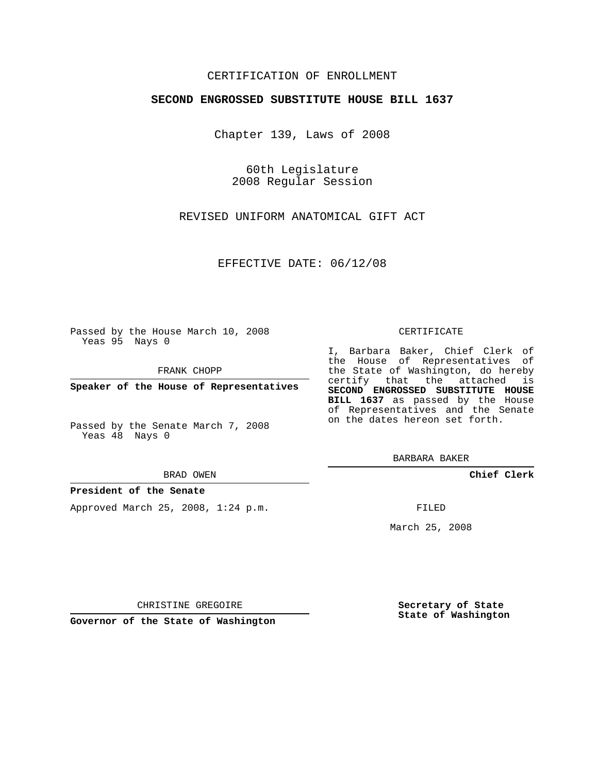## CERTIFICATION OF ENROLLMENT

## **SECOND ENGROSSED SUBSTITUTE HOUSE BILL 1637**

Chapter 139, Laws of 2008

60th Legislature 2008 Regular Session

REVISED UNIFORM ANATOMICAL GIFT ACT

EFFECTIVE DATE: 06/12/08

Passed by the House March 10, 2008 Yeas 95 Nays 0

FRANK CHOPP

**Speaker of the House of Representatives**

Passed by the Senate March 7, 2008 Yeas 48 Nays 0

#### BRAD OWEN

### **President of the Senate**

Approved March 25, 2008, 1:24 p.m.

#### CERTIFICATE

I, Barbara Baker, Chief Clerk of the House of Representatives of the State of Washington, do hereby certify that the attached is **SECOND ENGROSSED SUBSTITUTE HOUSE BILL 1637** as passed by the House of Representatives and the Senate

BARBARA BAKER

**Chief Clerk**

FILED

March 25, 2008

**Secretary of State State of Washington**

CHRISTINE GREGOIRE

**Governor of the State of Washington**

on the dates hereon set forth.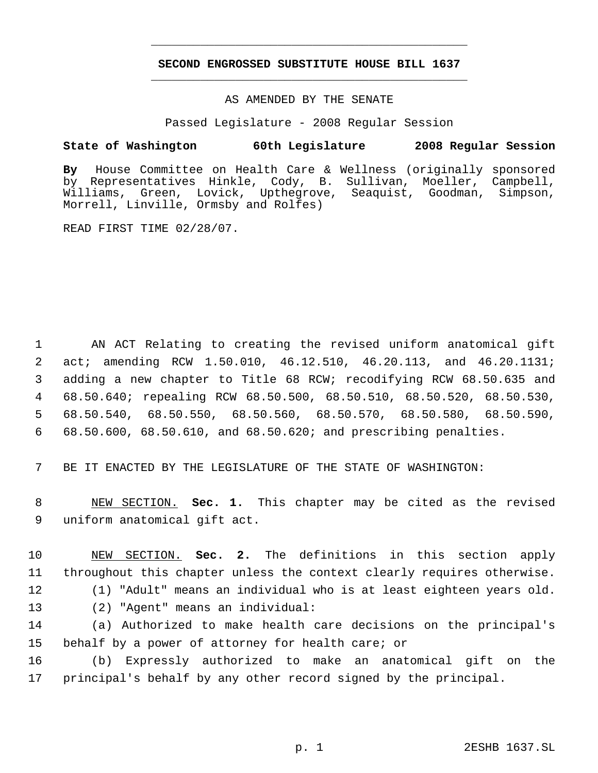# **SECOND ENGROSSED SUBSTITUTE HOUSE BILL 1637** \_\_\_\_\_\_\_\_\_\_\_\_\_\_\_\_\_\_\_\_\_\_\_\_\_\_\_\_\_\_\_\_\_\_\_\_\_\_\_\_\_\_\_\_\_

\_\_\_\_\_\_\_\_\_\_\_\_\_\_\_\_\_\_\_\_\_\_\_\_\_\_\_\_\_\_\_\_\_\_\_\_\_\_\_\_\_\_\_\_\_

## AS AMENDED BY THE SENATE

Passed Legislature - 2008 Regular Session

## **State of Washington 60th Legislature 2008 Regular Session**

**By** House Committee on Health Care & Wellness (originally sponsored by Representatives Hinkle, Cody, B. Sullivan, Moeller, Campbell, Williams, Green, Lovick, Upthegrove, Seaquist, Goodman, Simpson, Morrell, Linville, Ormsby and Rolfes)

READ FIRST TIME 02/28/07.

 AN ACT Relating to creating the revised uniform anatomical gift act; amending RCW 1.50.010, 46.12.510, 46.20.113, and 46.20.1131; adding a new chapter to Title 68 RCW; recodifying RCW 68.50.635 and 68.50.640; repealing RCW 68.50.500, 68.50.510, 68.50.520, 68.50.530, 68.50.540, 68.50.550, 68.50.560, 68.50.570, 68.50.580, 68.50.590, 68.50.600, 68.50.610, and 68.50.620; and prescribing penalties.

7 BE IT ENACTED BY THE LEGISLATURE OF THE STATE OF WASHINGTON:

 8 NEW SECTION. **Sec. 1.** This chapter may be cited as the revised 9 uniform anatomical gift act.

 NEW SECTION. **Sec. 2.** The definitions in this section apply throughout this chapter unless the context clearly requires otherwise. (1) "Adult" means an individual who is at least eighteen years old. (2) "Agent" means an individual: (a) Authorized to make health care decisions on the principal's behalf by a power of attorney for health care; or

16 (b) Expressly authorized to make an anatomical gift on the 17 principal's behalf by any other record signed by the principal.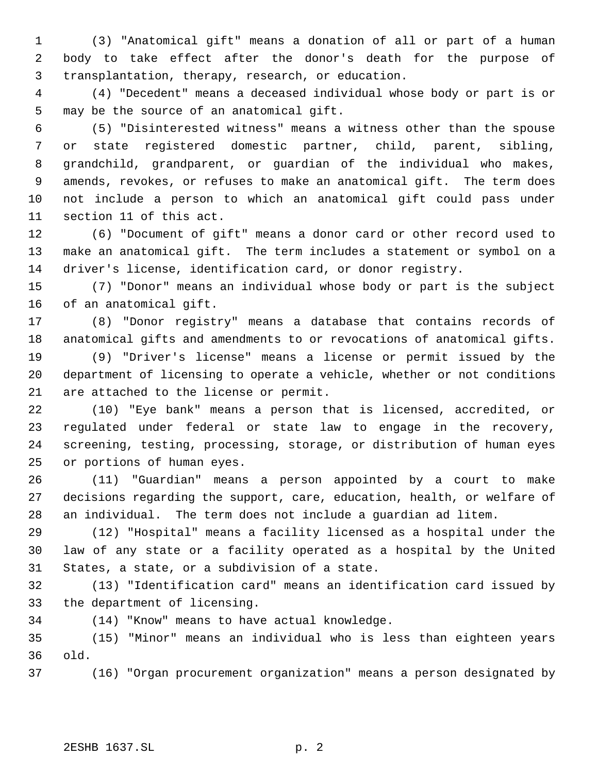(3) "Anatomical gift" means a donation of all or part of a human body to take effect after the donor's death for the purpose of transplantation, therapy, research, or education.

 (4) "Decedent" means a deceased individual whose body or part is or may be the source of an anatomical gift.

 (5) "Disinterested witness" means a witness other than the spouse or state registered domestic partner, child, parent, sibling, grandchild, grandparent, or guardian of the individual who makes, amends, revokes, or refuses to make an anatomical gift. The term does not include a person to which an anatomical gift could pass under section 11 of this act.

 (6) "Document of gift" means a donor card or other record used to make an anatomical gift. The term includes a statement or symbol on a driver's license, identification card, or donor registry.

 (7) "Donor" means an individual whose body or part is the subject of an anatomical gift.

 (8) "Donor registry" means a database that contains records of anatomical gifts and amendments to or revocations of anatomical gifts.

 (9) "Driver's license" means a license or permit issued by the department of licensing to operate a vehicle, whether or not conditions are attached to the license or permit.

 (10) "Eye bank" means a person that is licensed, accredited, or regulated under federal or state law to engage in the recovery, screening, testing, processing, storage, or distribution of human eyes or portions of human eyes.

 (11) "Guardian" means a person appointed by a court to make decisions regarding the support, care, education, health, or welfare of an individual. The term does not include a guardian ad litem.

 (12) "Hospital" means a facility licensed as a hospital under the law of any state or a facility operated as a hospital by the United States, a state, or a subdivision of a state.

 (13) "Identification card" means an identification card issued by the department of licensing.

(14) "Know" means to have actual knowledge.

 (15) "Minor" means an individual who is less than eighteen years old.

(16) "Organ procurement organization" means a person designated by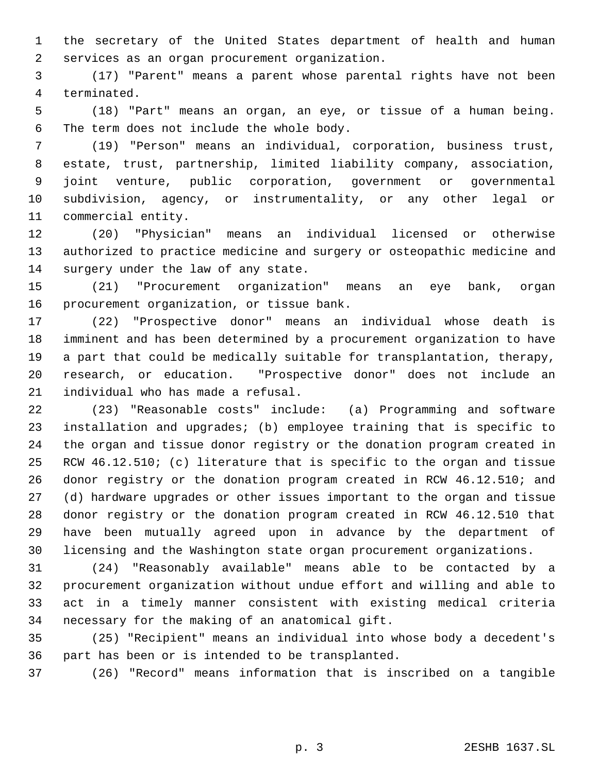the secretary of the United States department of health and human services as an organ procurement organization.

 (17) "Parent" means a parent whose parental rights have not been terminated.

 (18) "Part" means an organ, an eye, or tissue of a human being. The term does not include the whole body.

 (19) "Person" means an individual, corporation, business trust, estate, trust, partnership, limited liability company, association, joint venture, public corporation, government or governmental subdivision, agency, or instrumentality, or any other legal or commercial entity.

 (20) "Physician" means an individual licensed or otherwise authorized to practice medicine and surgery or osteopathic medicine and surgery under the law of any state.

 (21) "Procurement organization" means an eye bank, organ procurement organization, or tissue bank.

 (22) "Prospective donor" means an individual whose death is imminent and has been determined by a procurement organization to have a part that could be medically suitable for transplantation, therapy, research, or education. "Prospective donor" does not include an individual who has made a refusal.

 (23) "Reasonable costs" include: (a) Programming and software installation and upgrades; (b) employee training that is specific to the organ and tissue donor registry or the donation program created in RCW 46.12.510; (c) literature that is specific to the organ and tissue donor registry or the donation program created in RCW 46.12.510; and (d) hardware upgrades or other issues important to the organ and tissue donor registry or the donation program created in RCW 46.12.510 that have been mutually agreed upon in advance by the department of licensing and the Washington state organ procurement organizations.

 (24) "Reasonably available" means able to be contacted by a procurement organization without undue effort and willing and able to act in a timely manner consistent with existing medical criteria necessary for the making of an anatomical gift.

 (25) "Recipient" means an individual into whose body a decedent's part has been or is intended to be transplanted.

(26) "Record" means information that is inscribed on a tangible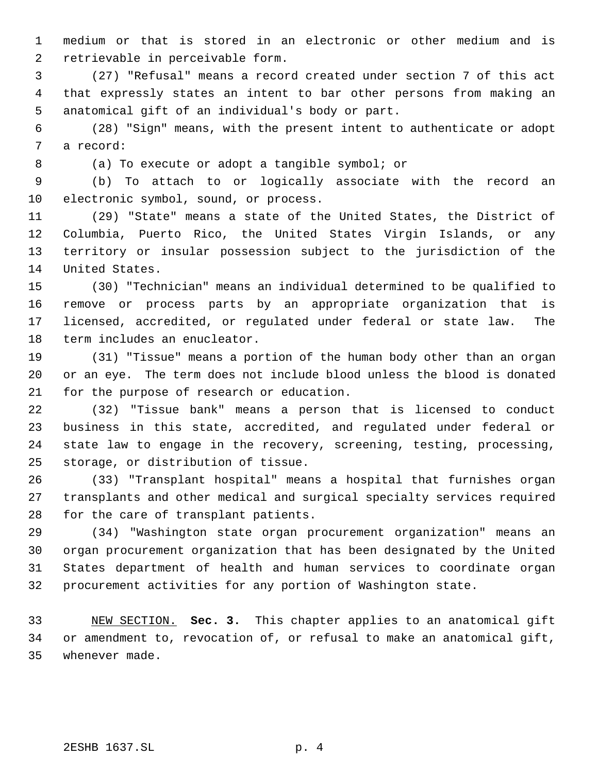medium or that is stored in an electronic or other medium and is retrievable in perceivable form.

 (27) "Refusal" means a record created under section 7 of this act that expressly states an intent to bar other persons from making an anatomical gift of an individual's body or part.

 (28) "Sign" means, with the present intent to authenticate or adopt a record:

(a) To execute or adopt a tangible symbol; or

 (b) To attach to or logically associate with the record an electronic symbol, sound, or process.

 (29) "State" means a state of the United States, the District of Columbia, Puerto Rico, the United States Virgin Islands, or any territory or insular possession subject to the jurisdiction of the United States.

 (30) "Technician" means an individual determined to be qualified to remove or process parts by an appropriate organization that is licensed, accredited, or regulated under federal or state law. The term includes an enucleator.

 (31) "Tissue" means a portion of the human body other than an organ or an eye. The term does not include blood unless the blood is donated for the purpose of research or education.

 (32) "Tissue bank" means a person that is licensed to conduct business in this state, accredited, and regulated under federal or state law to engage in the recovery, screening, testing, processing, storage, or distribution of tissue.

 (33) "Transplant hospital" means a hospital that furnishes organ transplants and other medical and surgical specialty services required for the care of transplant patients.

 (34) "Washington state organ procurement organization" means an organ procurement organization that has been designated by the United States department of health and human services to coordinate organ procurement activities for any portion of Washington state.

 NEW SECTION. **Sec. 3.** This chapter applies to an anatomical gift or amendment to, revocation of, or refusal to make an anatomical gift, whenever made.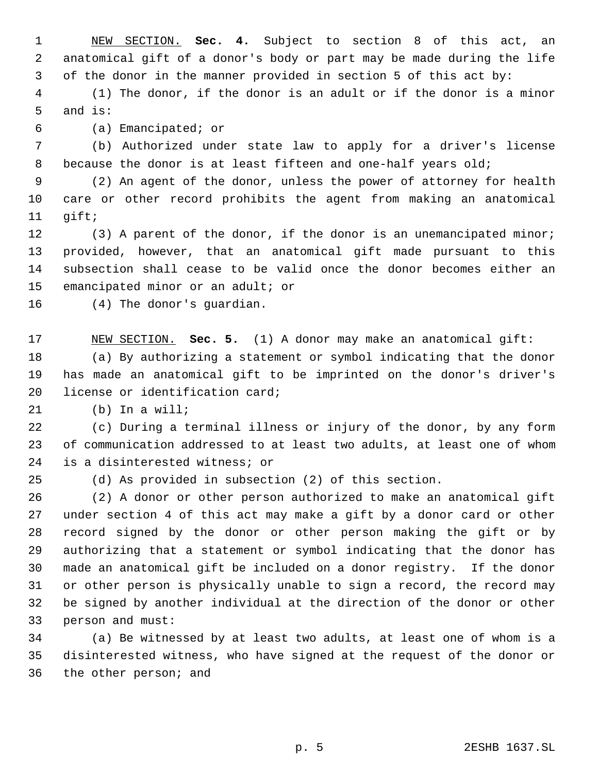NEW SECTION. **Sec. 4.** Subject to section 8 of this act, an anatomical gift of a donor's body or part may be made during the life of the donor in the manner provided in section 5 of this act by:

 (1) The donor, if the donor is an adult or if the donor is a minor and is:

(a) Emancipated; or

 (b) Authorized under state law to apply for a driver's license 8 because the donor is at least fifteen and one-half years old;

 (2) An agent of the donor, unless the power of attorney for health care or other record prohibits the agent from making an anatomical gift;

 (3) A parent of the donor, if the donor is an unemancipated minor; provided, however, that an anatomical gift made pursuant to this subsection shall cease to be valid once the donor becomes either an emancipated minor or an adult; or

(4) The donor's guardian.

 NEW SECTION. **Sec. 5.** (1) A donor may make an anatomical gift: (a) By authorizing a statement or symbol indicating that the donor has made an anatomical gift to be imprinted on the donor's driver's license or identification card;

(b) In a will;

 (c) During a terminal illness or injury of the donor, by any form of communication addressed to at least two adults, at least one of whom is a disinterested witness; or

(d) As provided in subsection (2) of this section.

 (2) A donor or other person authorized to make an anatomical gift under section 4 of this act may make a gift by a donor card or other record signed by the donor or other person making the gift or by authorizing that a statement or symbol indicating that the donor has made an anatomical gift be included on a donor registry. If the donor or other person is physically unable to sign a record, the record may be signed by another individual at the direction of the donor or other person and must:

 (a) Be witnessed by at least two adults, at least one of whom is a disinterested witness, who have signed at the request of the donor or the other person; and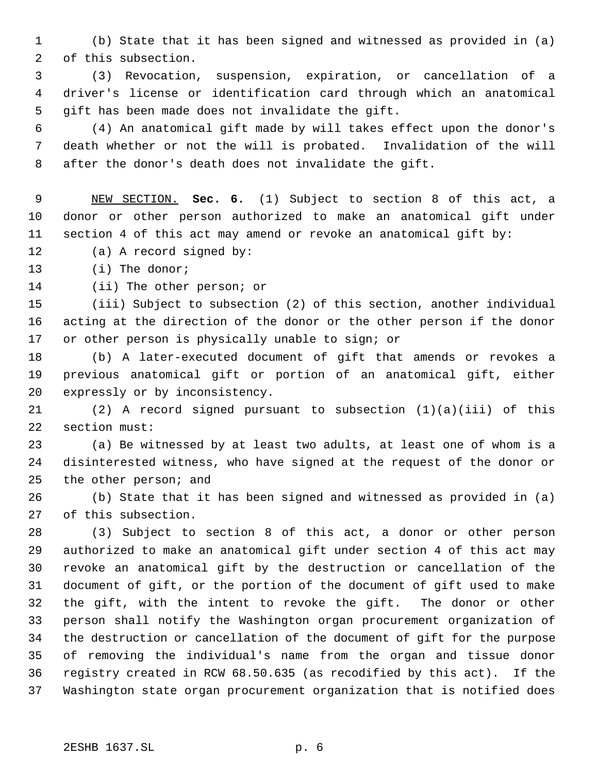(b) State that it has been signed and witnessed as provided in (a) of this subsection.

 (3) Revocation, suspension, expiration, or cancellation of a driver's license or identification card through which an anatomical gift has been made does not invalidate the gift.

 (4) An anatomical gift made by will takes effect upon the donor's death whether or not the will is probated. Invalidation of the will after the donor's death does not invalidate the gift.

 NEW SECTION. **Sec. 6.** (1) Subject to section 8 of this act, a donor or other person authorized to make an anatomical gift under section 4 of this act may amend or revoke an anatomical gift by:

(a) A record signed by:

(i) The donor;

(ii) The other person; or

 (iii) Subject to subsection (2) of this section, another individual acting at the direction of the donor or the other person if the donor or other person is physically unable to sign; or

 (b) A later-executed document of gift that amends or revokes a previous anatomical gift or portion of an anatomical gift, either expressly or by inconsistency.

 (2) A record signed pursuant to subsection (1)(a)(iii) of this section must:

 (a) Be witnessed by at least two adults, at least one of whom is a disinterested witness, who have signed at the request of the donor or the other person; and

 (b) State that it has been signed and witnessed as provided in (a) of this subsection.

 (3) Subject to section 8 of this act, a donor or other person authorized to make an anatomical gift under section 4 of this act may revoke an anatomical gift by the destruction or cancellation of the document of gift, or the portion of the document of gift used to make the gift, with the intent to revoke the gift. The donor or other person shall notify the Washington organ procurement organization of the destruction or cancellation of the document of gift for the purpose of removing the individual's name from the organ and tissue donor registry created in RCW 68.50.635 (as recodified by this act). If the Washington state organ procurement organization that is notified does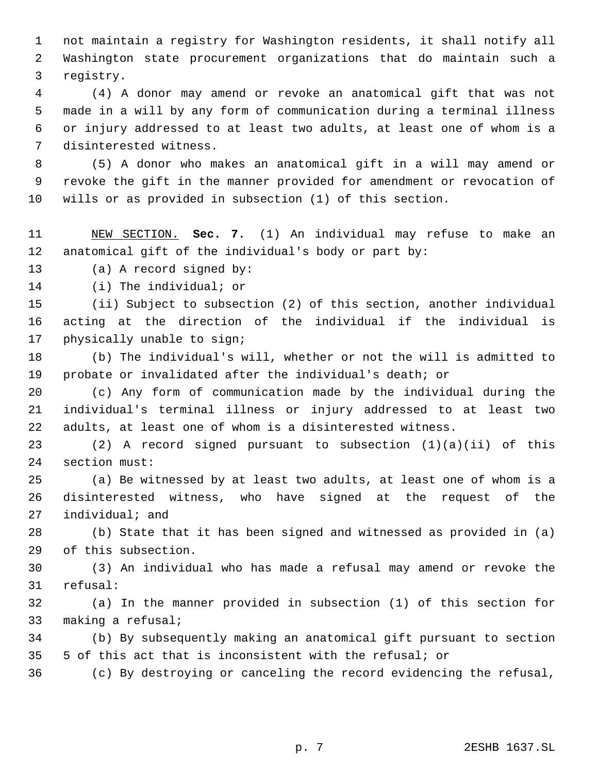not maintain a registry for Washington residents, it shall notify all Washington state procurement organizations that do maintain such a registry.

 (4) A donor may amend or revoke an anatomical gift that was not made in a will by any form of communication during a terminal illness or injury addressed to at least two adults, at least one of whom is a disinterested witness.

 (5) A donor who makes an anatomical gift in a will may amend or revoke the gift in the manner provided for amendment or revocation of wills or as provided in subsection (1) of this section.

 NEW SECTION. **Sec. 7.** (1) An individual may refuse to make an anatomical gift of the individual's body or part by:

(a) A record signed by:

(i) The individual; or

 (ii) Subject to subsection (2) of this section, another individual acting at the direction of the individual if the individual is physically unable to sign;

 (b) The individual's will, whether or not the will is admitted to probate or invalidated after the individual's death; or

 (c) Any form of communication made by the individual during the individual's terminal illness or injury addressed to at least two adults, at least one of whom is a disinterested witness.

 (2) A record signed pursuant to subsection (1)(a)(ii) of this section must:

 (a) Be witnessed by at least two adults, at least one of whom is a disinterested witness, who have signed at the request of the individual; and

 (b) State that it has been signed and witnessed as provided in (a) of this subsection.

 (3) An individual who has made a refusal may amend or revoke the refusal:

 (a) In the manner provided in subsection (1) of this section for making a refusal;

 (b) By subsequently making an anatomical gift pursuant to section 5 of this act that is inconsistent with the refusal; or

(c) By destroying or canceling the record evidencing the refusal,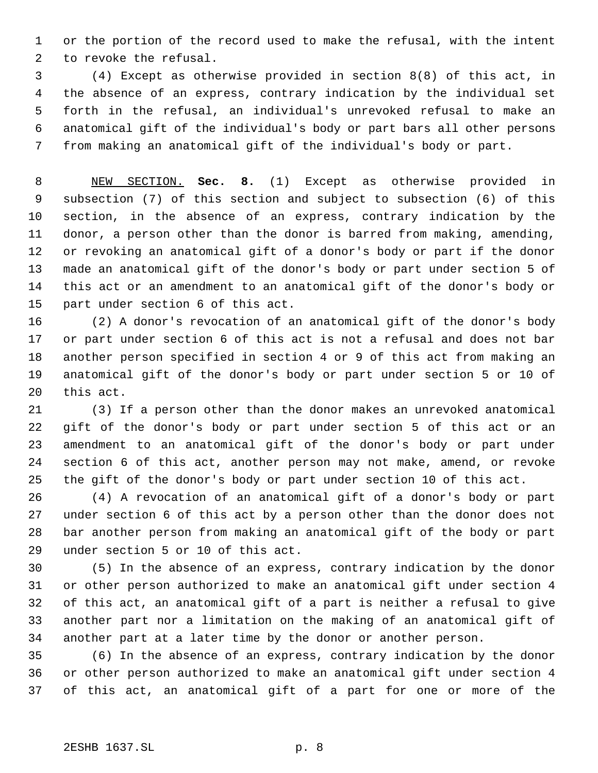or the portion of the record used to make the refusal, with the intent to revoke the refusal.

 (4) Except as otherwise provided in section 8(8) of this act, in the absence of an express, contrary indication by the individual set forth in the refusal, an individual's unrevoked refusal to make an anatomical gift of the individual's body or part bars all other persons from making an anatomical gift of the individual's body or part.

 NEW SECTION. **Sec. 8.** (1) Except as otherwise provided in subsection (7) of this section and subject to subsection (6) of this section, in the absence of an express, contrary indication by the donor, a person other than the donor is barred from making, amending, or revoking an anatomical gift of a donor's body or part if the donor made an anatomical gift of the donor's body or part under section 5 of this act or an amendment to an anatomical gift of the donor's body or part under section 6 of this act.

 (2) A donor's revocation of an anatomical gift of the donor's body or part under section 6 of this act is not a refusal and does not bar another person specified in section 4 or 9 of this act from making an anatomical gift of the donor's body or part under section 5 or 10 of this act.

 (3) If a person other than the donor makes an unrevoked anatomical gift of the donor's body or part under section 5 of this act or an amendment to an anatomical gift of the donor's body or part under section 6 of this act, another person may not make, amend, or revoke the gift of the donor's body or part under section 10 of this act.

 (4) A revocation of an anatomical gift of a donor's body or part under section 6 of this act by a person other than the donor does not bar another person from making an anatomical gift of the body or part under section 5 or 10 of this act.

 (5) In the absence of an express, contrary indication by the donor or other person authorized to make an anatomical gift under section 4 of this act, an anatomical gift of a part is neither a refusal to give another part nor a limitation on the making of an anatomical gift of another part at a later time by the donor or another person.

 (6) In the absence of an express, contrary indication by the donor or other person authorized to make an anatomical gift under section 4 of this act, an anatomical gift of a part for one or more of the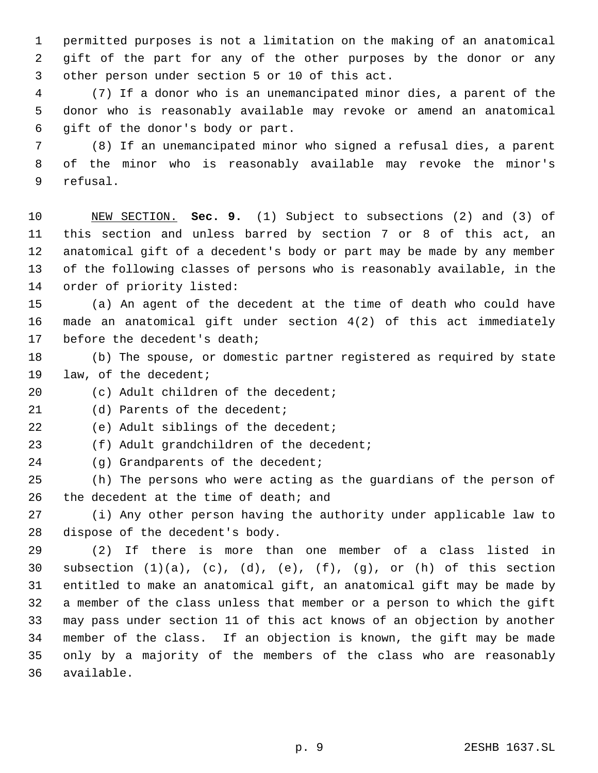permitted purposes is not a limitation on the making of an anatomical gift of the part for any of the other purposes by the donor or any other person under section 5 or 10 of this act.

 (7) If a donor who is an unemancipated minor dies, a parent of the donor who is reasonably available may revoke or amend an anatomical gift of the donor's body or part.

 (8) If an unemancipated minor who signed a refusal dies, a parent of the minor who is reasonably available may revoke the minor's refusal.

 NEW SECTION. **Sec. 9.** (1) Subject to subsections (2) and (3) of this section and unless barred by section 7 or 8 of this act, an anatomical gift of a decedent's body or part may be made by any member of the following classes of persons who is reasonably available, in the order of priority listed:

 (a) An agent of the decedent at the time of death who could have made an anatomical gift under section 4(2) of this act immediately before the decedent's death;

- (b) The spouse, or domestic partner registered as required by state law, of the decedent;
- 20 (c) Adult children of the decedent;

21 (d) Parents of the decedent;

(e) Adult siblings of the decedent;

(f) Adult grandchildren of the decedent;

24 (g) Grandparents of the decedent;

 (h) The persons who were acting as the guardians of the person of the decedent at the time of death; and

 (i) Any other person having the authority under applicable law to dispose of the decedent's body.

 (2) If there is more than one member of a class listed in 30 subsection  $(1)(a)$ ,  $(c)$ ,  $(d)$ ,  $(e)$ ,  $(f)$ ,  $(g)$ , or  $(h)$  of this section entitled to make an anatomical gift, an anatomical gift may be made by a member of the class unless that member or a person to which the gift may pass under section 11 of this act knows of an objection by another member of the class. If an objection is known, the gift may be made only by a majority of the members of the class who are reasonably available.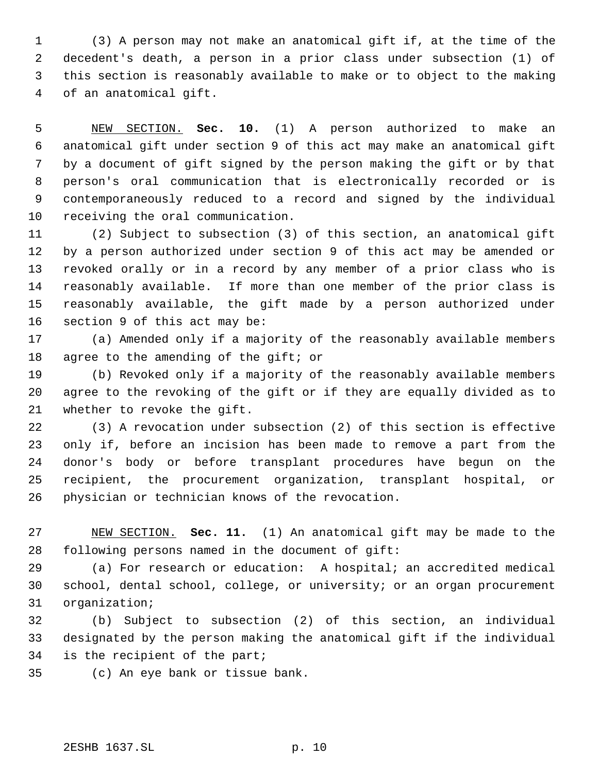(3) A person may not make an anatomical gift if, at the time of the decedent's death, a person in a prior class under subsection (1) of this section is reasonably available to make or to object to the making of an anatomical gift.

 NEW SECTION. **Sec. 10.** (1) A person authorized to make an anatomical gift under section 9 of this act may make an anatomical gift by a document of gift signed by the person making the gift or by that person's oral communication that is electronically recorded or is contemporaneously reduced to a record and signed by the individual receiving the oral communication.

 (2) Subject to subsection (3) of this section, an anatomical gift by a person authorized under section 9 of this act may be amended or revoked orally or in a record by any member of a prior class who is reasonably available. If more than one member of the prior class is reasonably available, the gift made by a person authorized under section 9 of this act may be:

 (a) Amended only if a majority of the reasonably available members 18 agree to the amending of the gift; or

 (b) Revoked only if a majority of the reasonably available members agree to the revoking of the gift or if they are equally divided as to whether to revoke the gift.

 (3) A revocation under subsection (2) of this section is effective only if, before an incision has been made to remove a part from the donor's body or before transplant procedures have begun on the recipient, the procurement organization, transplant hospital, or physician or technician knows of the revocation.

 NEW SECTION. **Sec. 11.** (1) An anatomical gift may be made to the following persons named in the document of gift:

 (a) For research or education: A hospital; an accredited medical school, dental school, college, or university; or an organ procurement organization;

 (b) Subject to subsection (2) of this section, an individual designated by the person making the anatomical gift if the individual is the recipient of the part;

(c) An eye bank or tissue bank.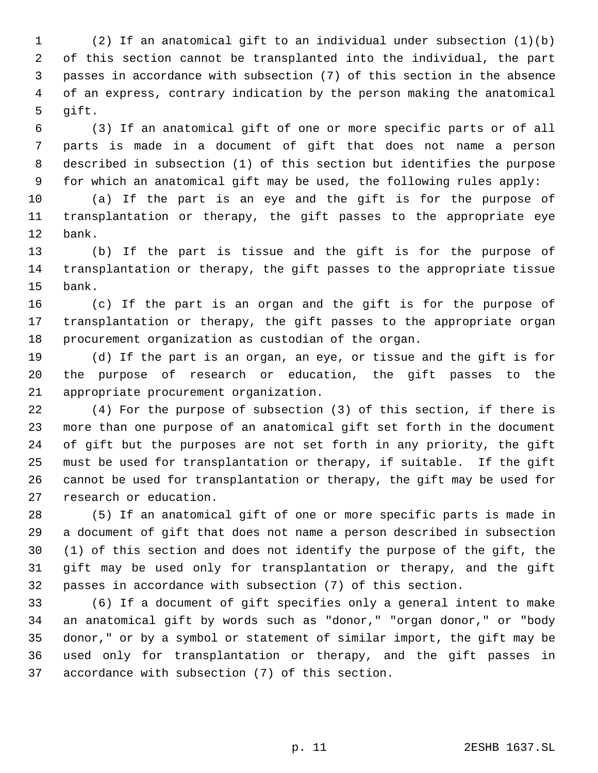(2) If an anatomical gift to an individual under subsection (1)(b) of this section cannot be transplanted into the individual, the part passes in accordance with subsection (7) of this section in the absence of an express, contrary indication by the person making the anatomical gift.

 (3) If an anatomical gift of one or more specific parts or of all parts is made in a document of gift that does not name a person described in subsection (1) of this section but identifies the purpose for which an anatomical gift may be used, the following rules apply:

 (a) If the part is an eye and the gift is for the purpose of transplantation or therapy, the gift passes to the appropriate eye bank.

 (b) If the part is tissue and the gift is for the purpose of transplantation or therapy, the gift passes to the appropriate tissue bank.

 (c) If the part is an organ and the gift is for the purpose of transplantation or therapy, the gift passes to the appropriate organ procurement organization as custodian of the organ.

 (d) If the part is an organ, an eye, or tissue and the gift is for the purpose of research or education, the gift passes to the appropriate procurement organization.

 (4) For the purpose of subsection (3) of this section, if there is more than one purpose of an anatomical gift set forth in the document of gift but the purposes are not set forth in any priority, the gift must be used for transplantation or therapy, if suitable. If the gift cannot be used for transplantation or therapy, the gift may be used for research or education.

 (5) If an anatomical gift of one or more specific parts is made in a document of gift that does not name a person described in subsection (1) of this section and does not identify the purpose of the gift, the gift may be used only for transplantation or therapy, and the gift passes in accordance with subsection (7) of this section.

 (6) If a document of gift specifies only a general intent to make an anatomical gift by words such as "donor," "organ donor," or "body donor," or by a symbol or statement of similar import, the gift may be used only for transplantation or therapy, and the gift passes in accordance with subsection (7) of this section.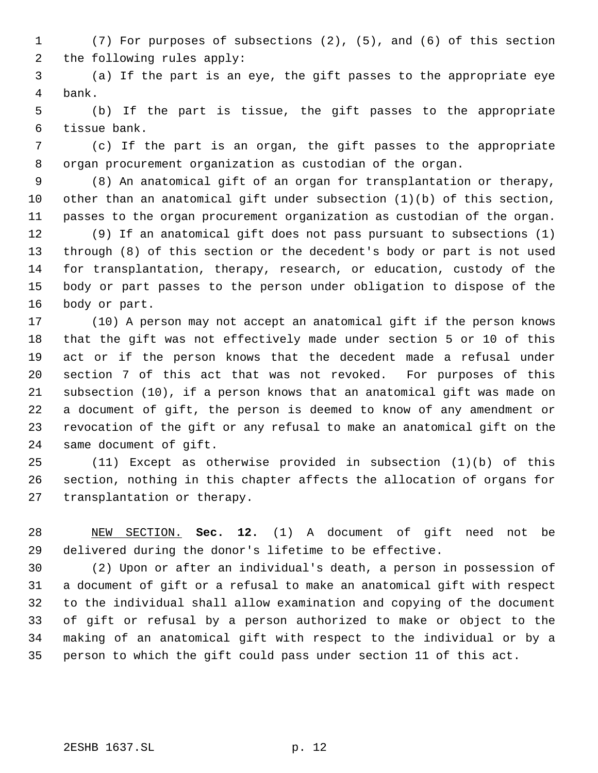(7) For purposes of subsections (2), (5), and (6) of this section the following rules apply:

 (a) If the part is an eye, the gift passes to the appropriate eye bank.

 (b) If the part is tissue, the gift passes to the appropriate tissue bank.

 (c) If the part is an organ, the gift passes to the appropriate organ procurement organization as custodian of the organ.

 (8) An anatomical gift of an organ for transplantation or therapy, other than an anatomical gift under subsection (1)(b) of this section, passes to the organ procurement organization as custodian of the organ.

 (9) If an anatomical gift does not pass pursuant to subsections (1) through (8) of this section or the decedent's body or part is not used for transplantation, therapy, research, or education, custody of the body or part passes to the person under obligation to dispose of the body or part.

 (10) A person may not accept an anatomical gift if the person knows that the gift was not effectively made under section 5 or 10 of this act or if the person knows that the decedent made a refusal under section 7 of this act that was not revoked. For purposes of this subsection (10), if a person knows that an anatomical gift was made on a document of gift, the person is deemed to know of any amendment or revocation of the gift or any refusal to make an anatomical gift on the same document of gift.

 (11) Except as otherwise provided in subsection (1)(b) of this section, nothing in this chapter affects the allocation of organs for transplantation or therapy.

 NEW SECTION. **Sec. 12.** (1) A document of gift need not be delivered during the donor's lifetime to be effective.

 (2) Upon or after an individual's death, a person in possession of a document of gift or a refusal to make an anatomical gift with respect to the individual shall allow examination and copying of the document of gift or refusal by a person authorized to make or object to the making of an anatomical gift with respect to the individual or by a person to which the gift could pass under section 11 of this act.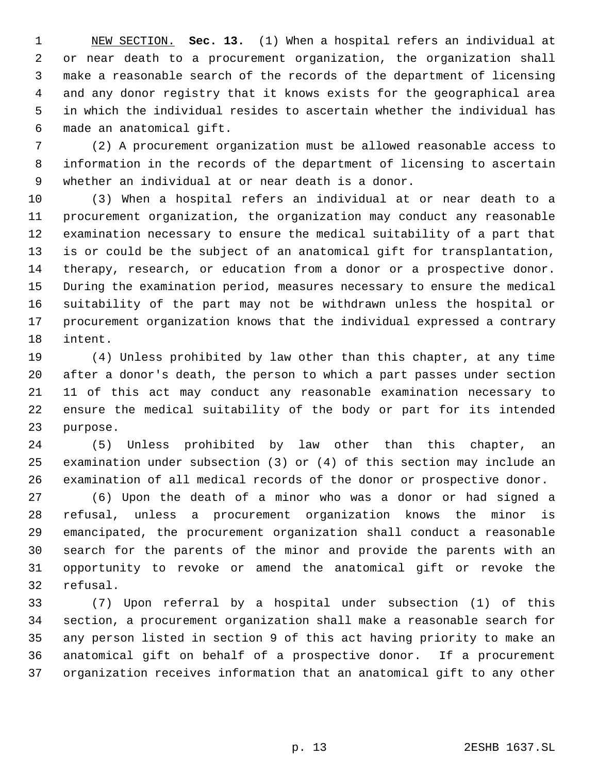NEW SECTION. **Sec. 13.** (1) When a hospital refers an individual at or near death to a procurement organization, the organization shall make a reasonable search of the records of the department of licensing and any donor registry that it knows exists for the geographical area in which the individual resides to ascertain whether the individual has made an anatomical gift.

 (2) A procurement organization must be allowed reasonable access to information in the records of the department of licensing to ascertain whether an individual at or near death is a donor.

 (3) When a hospital refers an individual at or near death to a procurement organization, the organization may conduct any reasonable examination necessary to ensure the medical suitability of a part that is or could be the subject of an anatomical gift for transplantation, therapy, research, or education from a donor or a prospective donor. During the examination period, measures necessary to ensure the medical suitability of the part may not be withdrawn unless the hospital or procurement organization knows that the individual expressed a contrary intent.

 (4) Unless prohibited by law other than this chapter, at any time after a donor's death, the person to which a part passes under section 11 of this act may conduct any reasonable examination necessary to ensure the medical suitability of the body or part for its intended purpose.

 (5) Unless prohibited by law other than this chapter, an examination under subsection (3) or (4) of this section may include an examination of all medical records of the donor or prospective donor.

 (6) Upon the death of a minor who was a donor or had signed a refusal, unless a procurement organization knows the minor is emancipated, the procurement organization shall conduct a reasonable search for the parents of the minor and provide the parents with an opportunity to revoke or amend the anatomical gift or revoke the refusal.

 (7) Upon referral by a hospital under subsection (1) of this section, a procurement organization shall make a reasonable search for any person listed in section 9 of this act having priority to make an anatomical gift on behalf of a prospective donor. If a procurement organization receives information that an anatomical gift to any other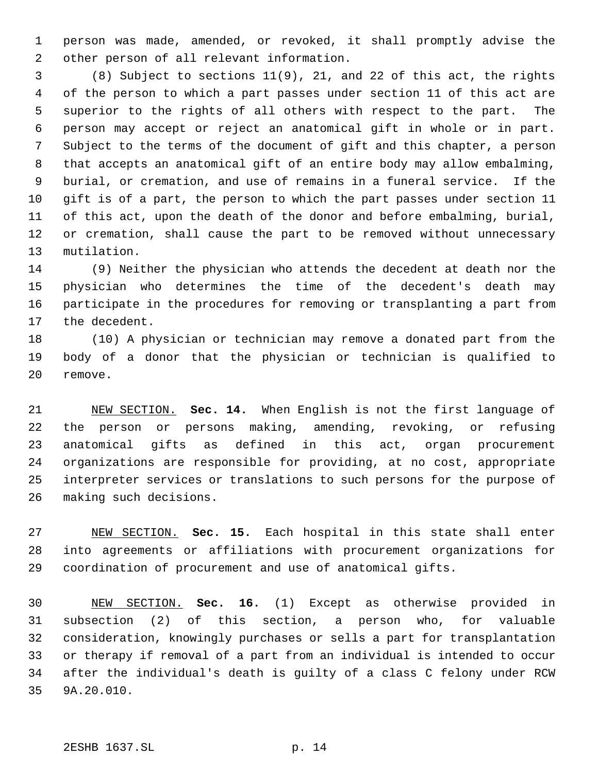person was made, amended, or revoked, it shall promptly advise the other person of all relevant information.

 (8) Subject to sections 11(9), 21, and 22 of this act, the rights of the person to which a part passes under section 11 of this act are superior to the rights of all others with respect to the part. The person may accept or reject an anatomical gift in whole or in part. Subject to the terms of the document of gift and this chapter, a person that accepts an anatomical gift of an entire body may allow embalming, burial, or cremation, and use of remains in a funeral service. If the gift is of a part, the person to which the part passes under section 11 of this act, upon the death of the donor and before embalming, burial, or cremation, shall cause the part to be removed without unnecessary mutilation.

 (9) Neither the physician who attends the decedent at death nor the physician who determines the time of the decedent's death may participate in the procedures for removing or transplanting a part from the decedent.

 (10) A physician or technician may remove a donated part from the body of a donor that the physician or technician is qualified to remove.

 NEW SECTION. **Sec. 14.** When English is not the first language of the person or persons making, amending, revoking, or refusing anatomical gifts as defined in this act, organ procurement organizations are responsible for providing, at no cost, appropriate interpreter services or translations to such persons for the purpose of making such decisions.

 NEW SECTION. **Sec. 15.** Each hospital in this state shall enter into agreements or affiliations with procurement organizations for coordination of procurement and use of anatomical gifts.

 NEW SECTION. **Sec. 16.** (1) Except as otherwise provided in subsection (2) of this section, a person who, for valuable consideration, knowingly purchases or sells a part for transplantation or therapy if removal of a part from an individual is intended to occur after the individual's death is guilty of a class C felony under RCW 9A.20.010.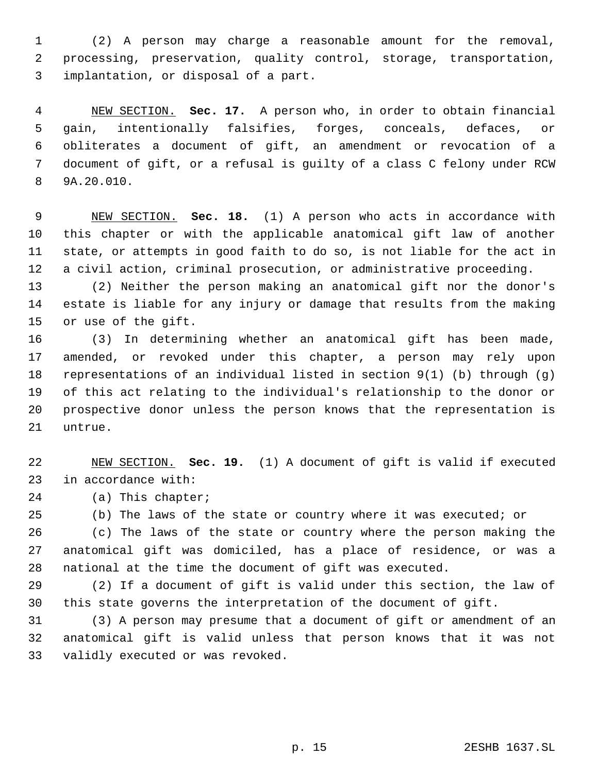(2) A person may charge a reasonable amount for the removal, processing, preservation, quality control, storage, transportation, implantation, or disposal of a part.

 NEW SECTION. **Sec. 17.** A person who, in order to obtain financial gain, intentionally falsifies, forges, conceals, defaces, or obliterates a document of gift, an amendment or revocation of a document of gift, or a refusal is guilty of a class C felony under RCW 9A.20.010.

 NEW SECTION. **Sec. 18.** (1) A person who acts in accordance with this chapter or with the applicable anatomical gift law of another state, or attempts in good faith to do so, is not liable for the act in a civil action, criminal prosecution, or administrative proceeding.

 (2) Neither the person making an anatomical gift nor the donor's estate is liable for any injury or damage that results from the making or use of the gift.

 (3) In determining whether an anatomical gift has been made, amended, or revoked under this chapter, a person may rely upon representations of an individual listed in section 9(1) (b) through (g) of this act relating to the individual's relationship to the donor or prospective donor unless the person knows that the representation is untrue.

 NEW SECTION. **Sec. 19.** (1) A document of gift is valid if executed in accordance with:

(a) This chapter;

(b) The laws of the state or country where it was executed; or

 (c) The laws of the state or country where the person making the anatomical gift was domiciled, has a place of residence, or was a national at the time the document of gift was executed.

 (2) If a document of gift is valid under this section, the law of this state governs the interpretation of the document of gift.

 (3) A person may presume that a document of gift or amendment of an anatomical gift is valid unless that person knows that it was not validly executed or was revoked.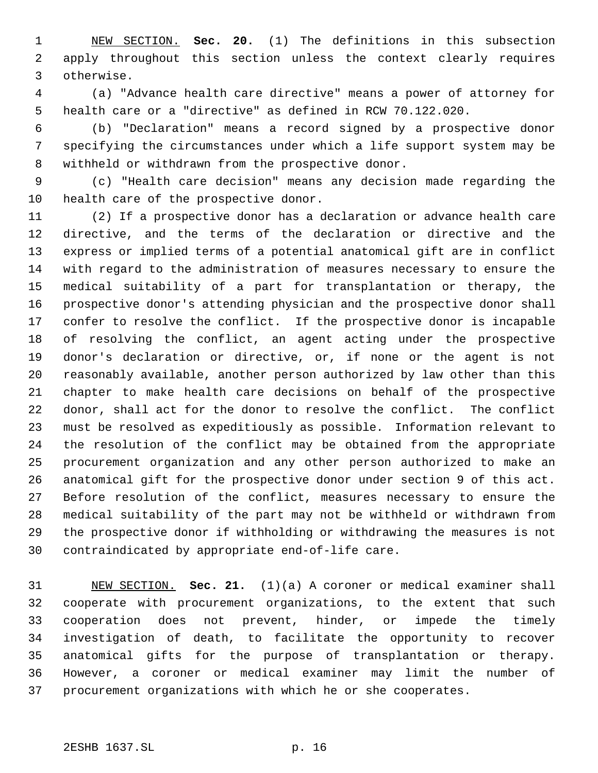NEW SECTION. **Sec. 20.** (1) The definitions in this subsection apply throughout this section unless the context clearly requires otherwise.

 (a) "Advance health care directive" means a power of attorney for health care or a "directive" as defined in RCW 70.122.020.

 (b) "Declaration" means a record signed by a prospective donor specifying the circumstances under which a life support system may be withheld or withdrawn from the prospective donor.

 (c) "Health care decision" means any decision made regarding the health care of the prospective donor.

 (2) If a prospective donor has a declaration or advance health care directive, and the terms of the declaration or directive and the express or implied terms of a potential anatomical gift are in conflict with regard to the administration of measures necessary to ensure the medical suitability of a part for transplantation or therapy, the prospective donor's attending physician and the prospective donor shall confer to resolve the conflict. If the prospective donor is incapable of resolving the conflict, an agent acting under the prospective donor's declaration or directive, or, if none or the agent is not reasonably available, another person authorized by law other than this chapter to make health care decisions on behalf of the prospective donor, shall act for the donor to resolve the conflict. The conflict must be resolved as expeditiously as possible. Information relevant to the resolution of the conflict may be obtained from the appropriate procurement organization and any other person authorized to make an anatomical gift for the prospective donor under section 9 of this act. Before resolution of the conflict, measures necessary to ensure the medical suitability of the part may not be withheld or withdrawn from the prospective donor if withholding or withdrawing the measures is not contraindicated by appropriate end-of-life care.

 NEW SECTION. **Sec. 21.** (1)(a) A coroner or medical examiner shall cooperate with procurement organizations, to the extent that such cooperation does not prevent, hinder, or impede the timely investigation of death, to facilitate the opportunity to recover anatomical gifts for the purpose of transplantation or therapy. However, a coroner or medical examiner may limit the number of procurement organizations with which he or she cooperates.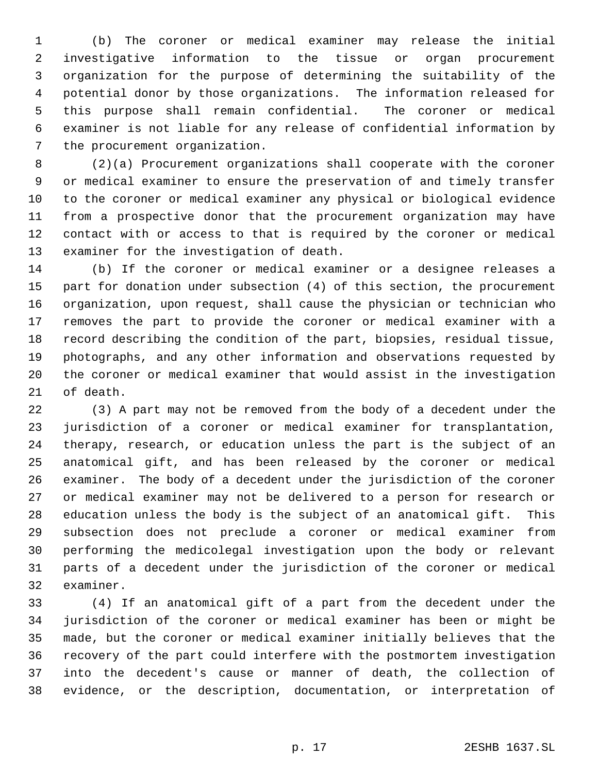(b) The coroner or medical examiner may release the initial investigative information to the tissue or organ procurement organization for the purpose of determining the suitability of the potential donor by those organizations. The information released for this purpose shall remain confidential. The coroner or medical examiner is not liable for any release of confidential information by the procurement organization.

 (2)(a) Procurement organizations shall cooperate with the coroner or medical examiner to ensure the preservation of and timely transfer to the coroner or medical examiner any physical or biological evidence from a prospective donor that the procurement organization may have contact with or access to that is required by the coroner or medical examiner for the investigation of death.

 (b) If the coroner or medical examiner or a designee releases a part for donation under subsection (4) of this section, the procurement organization, upon request, shall cause the physician or technician who removes the part to provide the coroner or medical examiner with a record describing the condition of the part, biopsies, residual tissue, photographs, and any other information and observations requested by the coroner or medical examiner that would assist in the investigation of death.

 (3) A part may not be removed from the body of a decedent under the jurisdiction of a coroner or medical examiner for transplantation, therapy, research, or education unless the part is the subject of an anatomical gift, and has been released by the coroner or medical examiner. The body of a decedent under the jurisdiction of the coroner or medical examiner may not be delivered to a person for research or education unless the body is the subject of an anatomical gift. This subsection does not preclude a coroner or medical examiner from performing the medicolegal investigation upon the body or relevant parts of a decedent under the jurisdiction of the coroner or medical examiner.

 (4) If an anatomical gift of a part from the decedent under the jurisdiction of the coroner or medical examiner has been or might be made, but the coroner or medical examiner initially believes that the recovery of the part could interfere with the postmortem investigation into the decedent's cause or manner of death, the collection of evidence, or the description, documentation, or interpretation of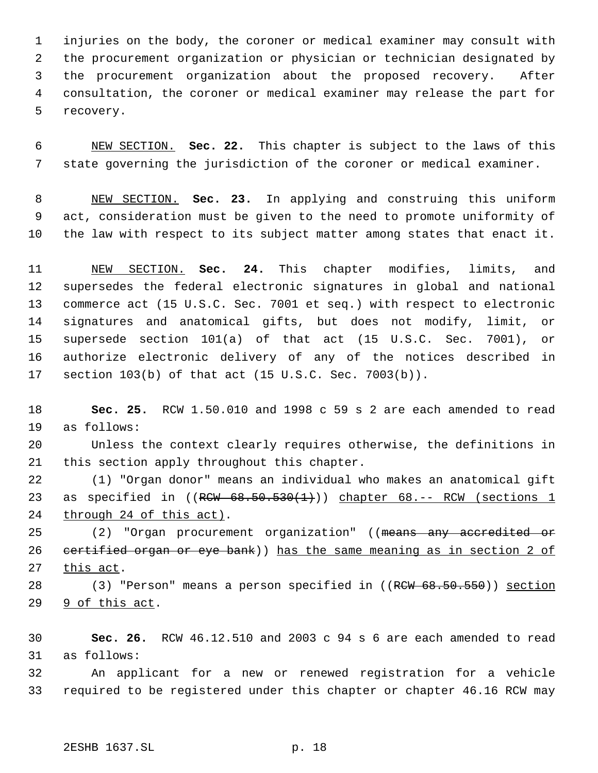injuries on the body, the coroner or medical examiner may consult with the procurement organization or physician or technician designated by the procurement organization about the proposed recovery. After consultation, the coroner or medical examiner may release the part for recovery.

 NEW SECTION. **Sec. 22.** This chapter is subject to the laws of this state governing the jurisdiction of the coroner or medical examiner.

 NEW SECTION. **Sec. 23.** In applying and construing this uniform act, consideration must be given to the need to promote uniformity of the law with respect to its subject matter among states that enact it.

 NEW SECTION. **Sec. 24.** This chapter modifies, limits, and supersedes the federal electronic signatures in global and national commerce act (15 U.S.C. Sec. 7001 et seq.) with respect to electronic signatures and anatomical gifts, but does not modify, limit, or supersede section 101(a) of that act (15 U.S.C. Sec. 7001), or authorize electronic delivery of any of the notices described in section 103(b) of that act (15 U.S.C. Sec. 7003(b)).

 **Sec. 25.** RCW 1.50.010 and 1998 c 59 s 2 are each amended to read as follows:

 Unless the context clearly requires otherwise, the definitions in this section apply throughout this chapter.

 (1) "Organ donor" means an individual who makes an anatomical gift 23 as specified in  $((R<sub>CW</sub> 68.50.530(1)))$  chapter 68.-- RCW (sections 1 24 through 24 of this act).

25 (2) "Organ procurement organization" ((means any accredited or 26 certified organ or eye bank)) has the same meaning as in section 2 of 27 this act.

28 (3) "Person" means a person specified in ((RCW 68.50.550)) section 29 9 of this act.

 **Sec. 26.** RCW 46.12.510 and 2003 c 94 s 6 are each amended to read as follows:

 An applicant for a new or renewed registration for a vehicle required to be registered under this chapter or chapter 46.16 RCW may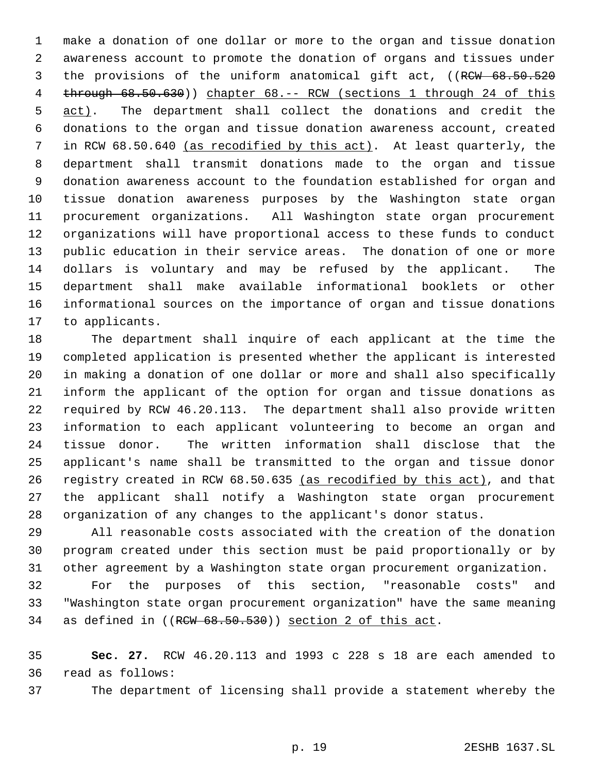make a donation of one dollar or more to the organ and tissue donation awareness account to promote the donation of organs and tissues under 3 the provisions of the uniform anatomical gift act, ((RCW 68.50.520 4 through  $68.50.630$ ) chapter  $68. -$  RCW (sections 1 through 24 of this 5 act). The department shall collect the donations and credit the donations to the organ and tissue donation awareness account, created 7 in RCW 68.50.640 (as recodified by this act). At least quarterly, the department shall transmit donations made to the organ and tissue donation awareness account to the foundation established for organ and tissue donation awareness purposes by the Washington state organ procurement organizations. All Washington state organ procurement organizations will have proportional access to these funds to conduct public education in their service areas. The donation of one or more dollars is voluntary and may be refused by the applicant. The department shall make available informational booklets or other informational sources on the importance of organ and tissue donations to applicants.

 The department shall inquire of each applicant at the time the completed application is presented whether the applicant is interested in making a donation of one dollar or more and shall also specifically inform the applicant of the option for organ and tissue donations as required by RCW 46.20.113. The department shall also provide written information to each applicant volunteering to become an organ and tissue donor. The written information shall disclose that the applicant's name shall be transmitted to the organ and tissue donor 26 registry created in RCW 68.50.635 (as recodified by this act), and that the applicant shall notify a Washington state organ procurement organization of any changes to the applicant's donor status.

 All reasonable costs associated with the creation of the donation program created under this section must be paid proportionally or by other agreement by a Washington state organ procurement organization.

 For the purposes of this section, "reasonable costs" and "Washington state organ procurement organization" have the same meaning as defined in ((RCW 68.50.530)) section 2 of this act.

 **Sec. 27.** RCW 46.20.113 and 1993 c 228 s 18 are each amended to read as follows:

The department of licensing shall provide a statement whereby the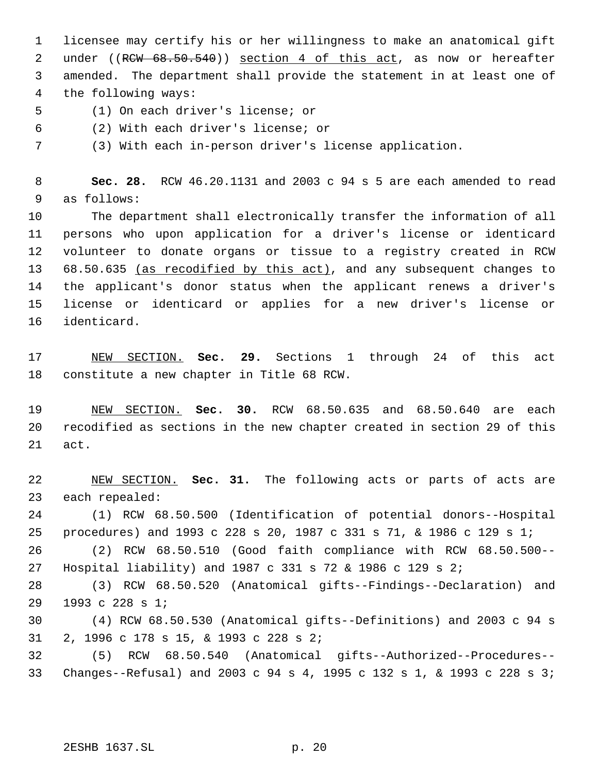licensee may certify his or her willingness to make an anatomical gift 2 under ((RCW 68.50.540)) section 4 of this act, as now or hereafter amended. The department shall provide the statement in at least one of the following ways:

- (1) On each driver's license; or
- (2) With each driver's license; or
- (3) With each in-person driver's license application.

 **Sec. 28.** RCW 46.20.1131 and 2003 c 94 s 5 are each amended to read as follows:

 The department shall electronically transfer the information of all persons who upon application for a driver's license or identicard volunteer to donate organs or tissue to a registry created in RCW 68.50.635 (as recodified by this act), and any subsequent changes to the applicant's donor status when the applicant renews a driver's license or identicard or applies for a new driver's license or identicard.

 NEW SECTION. **Sec. 29.** Sections 1 through 24 of this act constitute a new chapter in Title 68 RCW.

 NEW SECTION. **Sec. 30.** RCW 68.50.635 and 68.50.640 are each recodified as sections in the new chapter created in section 29 of this act.

 NEW SECTION. **Sec. 31.** The following acts or parts of acts are each repealed: (1) RCW 68.50.500 (Identification of potential donors--Hospital procedures) and 1993 c 228 s 20, 1987 c 331 s 71, & 1986 c 129 s 1; (2) RCW 68.50.510 (Good faith compliance with RCW 68.50.500-- Hospital liability) and 1987 c 331 s 72 & 1986 c 129 s 2; (3) RCW 68.50.520 (Anatomical gifts--Findings--Declaration) and 1993 c 228 s 1; (4) RCW 68.50.530 (Anatomical gifts--Definitions) and 2003 c 94 s 2, 1996 c 178 s 15, & 1993 c 228 s 2; (5) RCW 68.50.540 (Anatomical gifts--Authorized--Procedures-- Changes--Refusal) and 2003 c 94 s 4, 1995 c 132 s 1, & 1993 c 228 s 3;